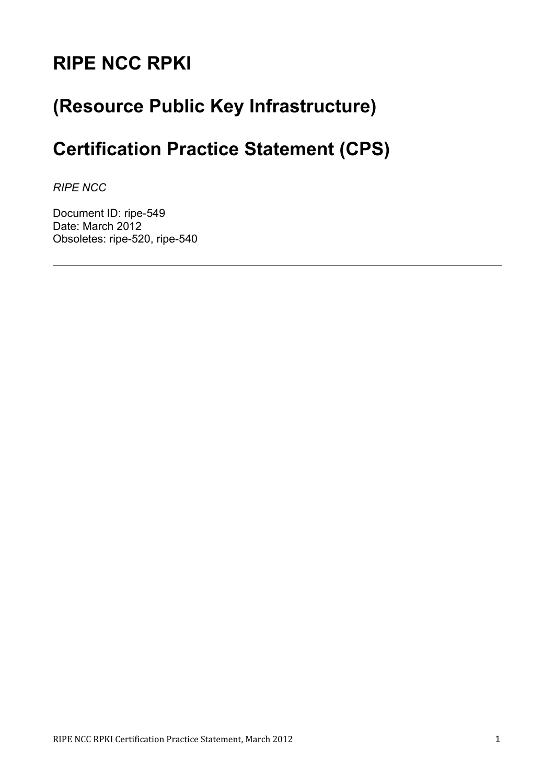# **RIPE NCC RPKI**

# **(Resource Public Key Infrastructure)**

# **Certification Practice Statement (CPS)**

*RIPE NCC*

Document ID: ripe-549 Date: March 2012 Obsoletes: ripe-520, ripe-540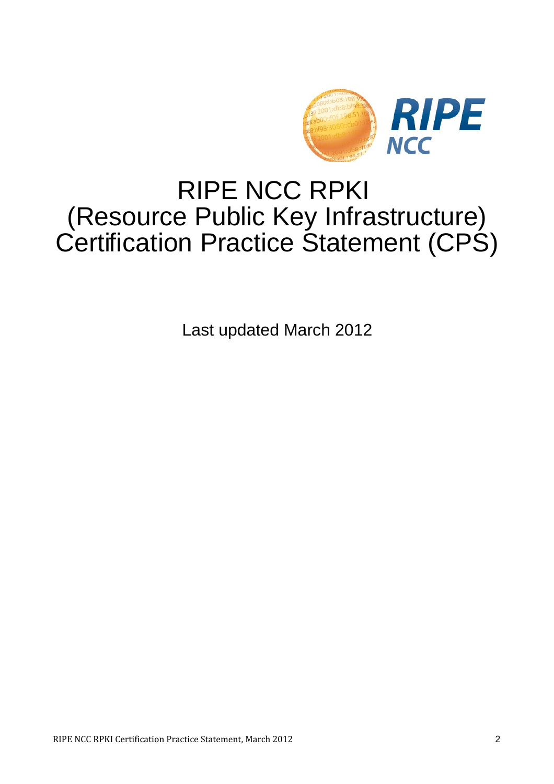

# RIPE NCC RPKI (Resource Public Key Infrastructure) Certification Practice Statement (CPS)

Last updated March 2012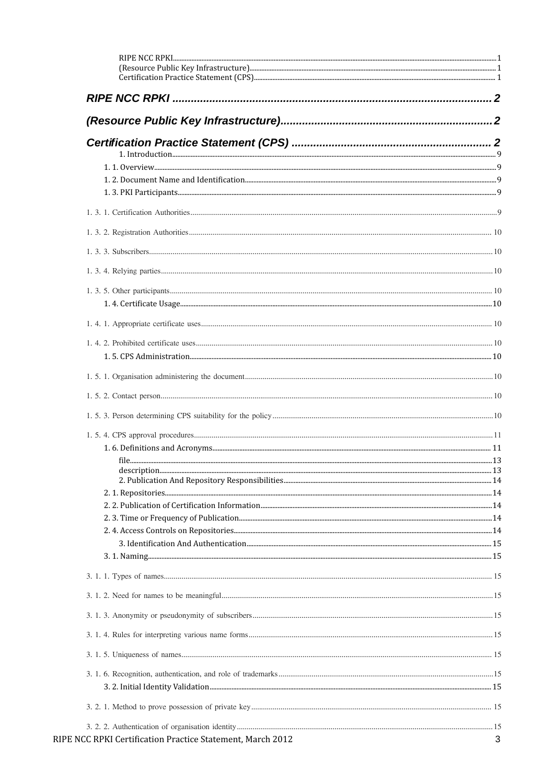| RIPE NCC RPKI Certification Practice Statement, March 2012 | 3 |
|------------------------------------------------------------|---|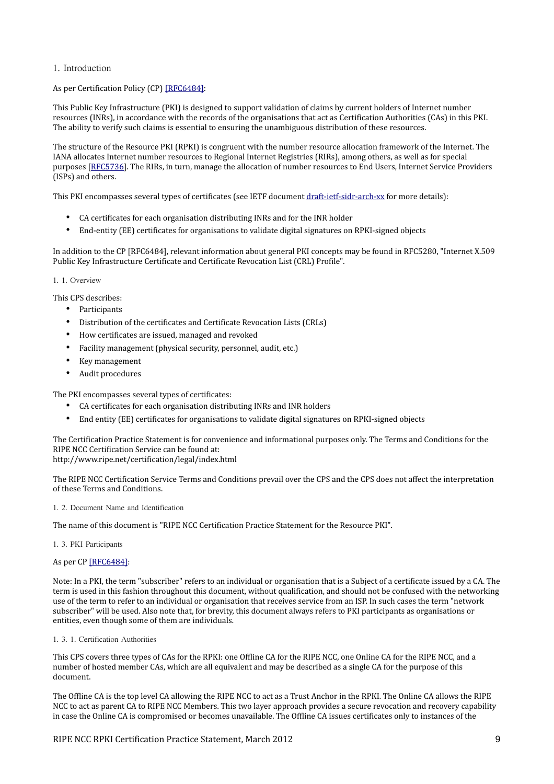1. Introduction

# As per Certification Policy (CP) [\[RFC6484\]:](#page-32-0)

This Public Key Infrastructure (PKI) is designed to support validation of claims by current holders of Internet number resources (INRs), in accordance with the records of the organisations that act as Certification Authorities (CAs) in this PKI. The ability to verify such claims is essential to ensuring the unambiguous distribution of these resources.

The structure of the Resource PKI (RPKI) is congruent with the number resource allocation framework of the Internet. The IANA allocates Internet number resources to Regional Internet Registries (RIRs), among others, as well as for special purposes [\[RFC5736\]](http://tools.ietf.org/html/rfc5736). The RIRs, in turn, manage the allocation of number resources to End Users, Internet Service Providers (ISPs) and others.

This PKI encompasses several types of certificates (see IETF document [draft-ietf-sidr-arch-xx](http://tools.ietf.org/wg/sidr/draft-ietf-sidr-arch/) for more details):

- CA certificates for each organisation distributing INRs and for the INR holder
- End-entity (EE) certificates for organisations to validate digital signatures on RPKI-signed objects

In addition to the CP [RFC6484], relevant information about general PKI concepts may be found in RFC5280, "Internet X.509 Public Key Infrastructure Certificate and Certificate Revocation List (CRL) Profile".

#### 1. 1. Overview

This CPS describes:

- Participants
- Distribution of the certificates and Certificate Revocation Lists (CRLs)
- How certificates are issued, managed and revoked
- Facility management (physical security, personnel, audit, etc.)
- Key management
- Audit procedures

The PKI encompasses several types of certificates:

- CA certificates for each organisation distributing INRs and INR holders
- End entity (EE) certificates for organisations to validate digital signatures on RPKI-signed objects

The Certification Practice Statement is for convenience and informational purposes only. The Terms and Conditions for the RIPE NCC Certification Service can be found at:

http://www.ripe.net/certification/legal/index.html

The RIPE NCC Certification Service Terms and Conditions prevail over the CPS and the CPS does not affect the interpretation of these Terms and Conditions.

1. 2. Document Name and Identification

The name of this document is "RIPE NCC Certification Practice Statement for the Resource PKI".

1. 3. PKI Participants

As per CP [\[RFC6484\]:](#page-32-0)

Note: In a PKI, the term "subscriber" refers to an individual or organisation that is a Subject of a certificate issued by a CA. The term is used in this fashion throughout this document, without qualification, and should not be confused with the networking use of the term to refer to an individual or organisation that receives service from an ISP. In such cases the term "network subscriber" will be used. Also note that, for brevity, this document always refers to PKI participants as organisations or entities, even though some of them are individuals.

1. 3. 1. Certification Authorities

This CPS covers three types of CAs for the RPKI: one Offline CA for the RIPE NCC, one Online CA for the RIPE NCC, and a number of hosted member CAs, which are all equivalent and may be described as a single CA for the purpose of this document.

The Offline CA is the top level CA allowing the RIPE NCC to act as a Trust Anchor in the RPKI. The Online CA allows the RIPE NCC to act as parent CA to RIPE NCC Members. This two layer approach provides a secure revocation and recovery capability in case the Online CA is compromised or becomes unavailable. The Offline CA issues certificates only to instances of the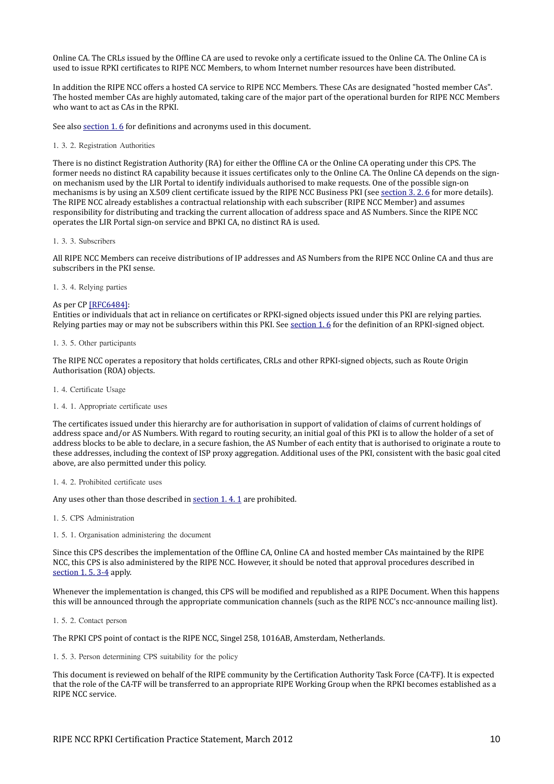Online CA. The CRLs issued by the Offline CA are used to revoke only a certificate issued to the Online CA. The Online CA is used to issue RPKI certificates to RIPE NCC Members, to whom Internet number resources have been distributed.

In addition the RIPE NCC offers a hosted CA service to RIPE NCC Members. These CAs are designated "hosted member CAs". The hosted member CAs are highly automated, taking care of the major part of the operational burden for RIPE NCC Members who want to act as CAs in the RPKI.

See also section 1.6 for definitions and acronyms used in this document.

1. 3. 2. Registration Authorities

There is no distinct Registration Authority (RA) for either the Offline CA or the Online CA operating under this CPS. The former needs no distinct RA capability because it issues certificates only to the Online CA. The Online CA depends on the signon mechanism used by the LIR Portal to identify individuals authorised to make requests. One of the possible sign-on mechanisms is by using an X.509 client certificate issued by the RIPE NCC Business PKI (see [section 3. 2. 6](#page-15-0) for more details). The RIPE NCC already establishes a contractual relationship with each subscriber (RIPE NCC Member) and assumes responsibility for distributing and tracking the current allocation of address space and AS Numbers. Since the RIPE NCC operates the LIR Portal sign-on service and BPKI CA, no distinct RA is used.

#### 1. 3. 3. Subscribers

All RIPE NCC Members can receive distributions of IP addresses and AS Numbers from the RIPE NCC Online CA and thus are subscribers in the PKI sense.

#### <span id="page-9-2"></span>1. 3. 4. Relying parties

#### As per CP [\[RFC6484\]:](#page-32-0)

Entities or individuals that act in reliance on certificates or RPKI-signed objects issued under this PKI are relying parties. Relying parties may or may not be subscribers within this PKI. See [section 1. 6](#page-10-0) for the definition of an RPKI-signed object.

#### 1. 3. 5. Other participants

The RIPE NCC operates a repository that holds certificates, CRLs and other RPKI-signed objects, such as Route Origin Authorisation (ROA) objects.

1. 4. Certificate Usage

#### <span id="page-9-1"></span>1. 4. 1. Appropriate certificate uses

The certificates issued under this hierarchy are for authorisation in support of validation of claims of current holdings of address space and/or AS Numbers. With regard to routing security, an initial goal of this PKI is to allow the holder of a set of address blocks to be able to declare, in a secure fashion, the AS Number of each entity that is authorised to originate a route to these addresses, including the context of ISP proxy aggregation. Additional uses of the PKI, consistent with the basic goal cited above, are also permitted under this policy.

# 1. 4. 2. Prohibited certificate uses

Any uses other than those described in [section 1. 4. 1](#page-9-1) are prohibited.

<span id="page-9-3"></span>1. 5. CPS Administration

1. 5. 1. Organisation administering the document

Since this CPS describes the implementation of the Offline CA, Online CA and hosted member CAs maintained by the RIPE NCC, this CPS is also administered by the RIPE NCC. However, it should be noted that approval procedures described in [section 1. 5. 3-4](#page-9-0) apply.

Whenever the implementation is changed, this CPS will be modified and republished as a RIPE Document. When this happens this will be announced through the appropriate communication channels (such as the RIPE NCC's ncc-announce mailing list).

1. 5. 2. Contact person

The RPKI CPS point of contact is the RIPE NCC, Singel 258, 1016AB, Amsterdam, Netherlands.

<span id="page-9-0"></span>1. 5. 3. Person determining CPS suitability for the policy

This document is reviewed on behalf of the RIPE community by the Certification Authority Task Force (CA-TF). It is expected that the role of the CA-TF will be transferred to an appropriate RIPE Working Group when the RPKI becomes established as a RIPE NCC service.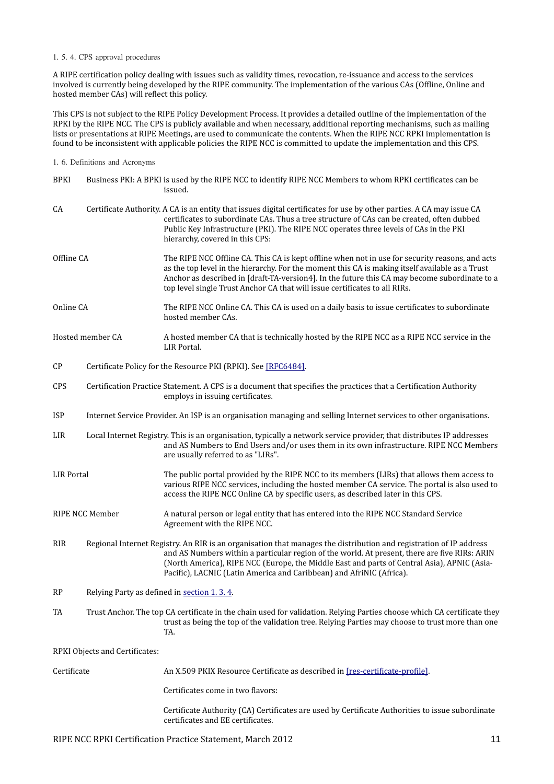#### 1. 5. 4. CPS approval procedures

A RIPE certification policy dealing with issues such as validity times, revocation, re-issuance and access to the services involved is currently being developed by the RIPE community. The implementation of the various CAs (Offline, Online and hosted member CAs) will reflect this policy.

This CPS is not subject to the RIPE Policy Development Process. It provides a detailed outline of the implementation of the RPKI by the RIPE NCC. The CPS is publicly available and when necessary, additional reporting mechanisms, such as mailing lists or presentations at RIPE Meetings, are used to communicate the contents. When the RIPE NCC RPKI implementation is found to be inconsistent with applicable policies the RIPE NCC is committed to update the implementation and this CPS.

<span id="page-10-0"></span>1. 6. Definitions and Acronyms

| <b>BPKI</b>            |                                                                                                                     | Business PKI: A BPKI is used by the RIPE NCC to identify RIPE NCC Members to whom RPKI certificates can be<br>issued.                                                                                                                                                                                                                                                                      |
|------------------------|---------------------------------------------------------------------------------------------------------------------|--------------------------------------------------------------------------------------------------------------------------------------------------------------------------------------------------------------------------------------------------------------------------------------------------------------------------------------------------------------------------------------------|
| CA                     |                                                                                                                     | Certificate Authority. A CA is an entity that issues digital certificates for use by other parties. A CA may issue CA<br>certificates to subordinate CAs. Thus a tree structure of CAs can be created, often dubbed<br>Public Key Infrastructure (PKI). The RIPE NCC operates three levels of CAs in the PKI<br>hierarchy, covered in this CPS:                                            |
| Offline CA             |                                                                                                                     | The RIPE NCC Offline CA. This CA is kept offline when not in use for security reasons, and acts<br>as the top level in the hierarchy. For the moment this CA is making itself available as a Trust<br>Anchor as described in [draft-TA-version4]. In the future this CA may become subordinate to a<br>top level single Trust Anchor CA that will issue certificates to all RIRs.          |
| Online CA              |                                                                                                                     | The RIPE NCC Online CA. This CA is used on a daily basis to issue certificates to subordinate<br>hosted member CAs.                                                                                                                                                                                                                                                                        |
|                        | Hosted member CA                                                                                                    | A hosted member CA that is technically hosted by the RIPE NCC as a RIPE NCC service in the<br>LIR Portal.                                                                                                                                                                                                                                                                                  |
| $\mathsf{C}\mathsf{P}$ | Certificate Policy for the Resource PKI (RPKI). See [RFC6484].                                                      |                                                                                                                                                                                                                                                                                                                                                                                            |
| <b>CPS</b>             |                                                                                                                     | Certification Practice Statement. A CPS is a document that specifies the practices that a Certification Authority<br>employs in issuing certificates.                                                                                                                                                                                                                                      |
| <b>ISP</b>             | Internet Service Provider. An ISP is an organisation managing and selling Internet services to other organisations. |                                                                                                                                                                                                                                                                                                                                                                                            |
| LIR                    |                                                                                                                     | Local Internet Registry. This is an organisation, typically a network service provider, that distributes IP addresses<br>and AS Numbers to End Users and/or uses them in its own infrastructure. RIPE NCC Members<br>are usually referred to as "LIRs".                                                                                                                                    |
| <b>LIR Portal</b>      |                                                                                                                     | The public portal provided by the RIPE NCC to its members (LIRs) that allows them access to<br>various RIPE NCC services, including the hosted member CA service. The portal is also used to<br>access the RIPE NCC Online CA by specific users, as described later in this CPS.                                                                                                           |
|                        | RIPE NCC Member                                                                                                     | A natural person or legal entity that has entered into the RIPE NCC Standard Service<br>Agreement with the RIPE NCC.                                                                                                                                                                                                                                                                       |
| <b>RIR</b>             |                                                                                                                     | Regional Internet Registry. An RIR is an organisation that manages the distribution and registration of IP address<br>and AS Numbers within a particular region of the world. At present, there are five RIRs: ARIN<br>(North America), RIPE NCC (Europe, the Middle East and parts of Central Asia), APNIC (Asia-<br>Pacific), LACNIC (Latin America and Caribbean) and AfriNIC (Africa). |
| RP                     | Relying Party as defined in section 1.3.4.                                                                          |                                                                                                                                                                                                                                                                                                                                                                                            |
| TA                     |                                                                                                                     | Trust Anchor. The top CA certificate in the chain used for validation. Relying Parties choose which CA certificate they<br>trust as being the top of the validation tree. Relying Parties may choose to trust more than one<br>TA.                                                                                                                                                         |
|                        | RPKI Objects and Certificates:                                                                                      |                                                                                                                                                                                                                                                                                                                                                                                            |
| Certificate            |                                                                                                                     | An X.509 PKIX Resource Certificate as described in [res-certificate-profile].                                                                                                                                                                                                                                                                                                              |
|                        |                                                                                                                     | Certificates come in two flavors:                                                                                                                                                                                                                                                                                                                                                          |
|                        |                                                                                                                     | Certificate Authority (CA) Certificates are used by Certificate Authorities to issue subordinate<br>certificates and EE certificates.                                                                                                                                                                                                                                                      |

# RIPE NCC RPKI Certification Practice Statement, March 2012 11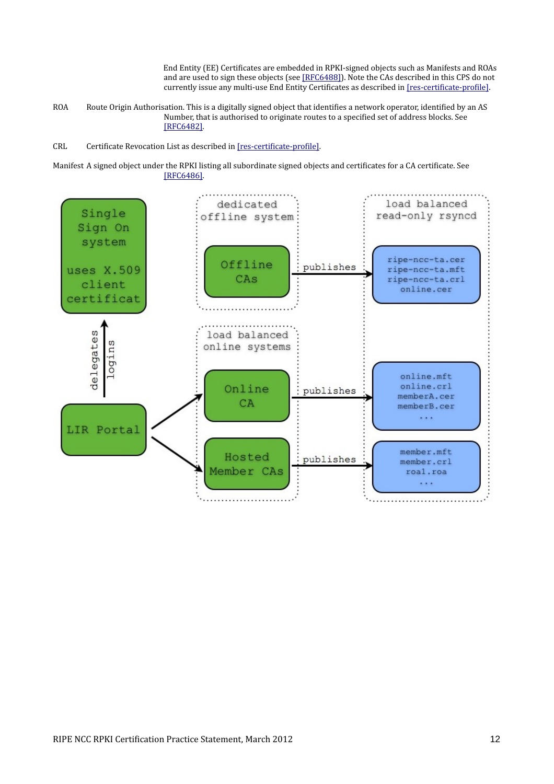End Entity (EE) Certificates are embedded in RPKI-signed objects such as Manifests and ROAs and are used to sign these objects (see [\[RFC6488\]\)](#page-32-4). Note the CAs described in this CPS do not currently issue any multi-use End Entity Certificates as described in [\[res-certificate-profile\].](#page-32-1)

ROA Route Origin Authorisation. This is a digitally signed object that identifies a network operator, identified by an AS Number, that is authorised to originate routes to a specified set of address blocks. See [\[RFC6482\].](#page-32-3)

CRL Certificate Revocation List as described in [\[res-certificate-profile\].](#page-32-1)

Manifest A signed object under the RPKI listing all subordinate signed objects and certificates for a CA certificate. See [\[RFC6486\].](#page-32-2)

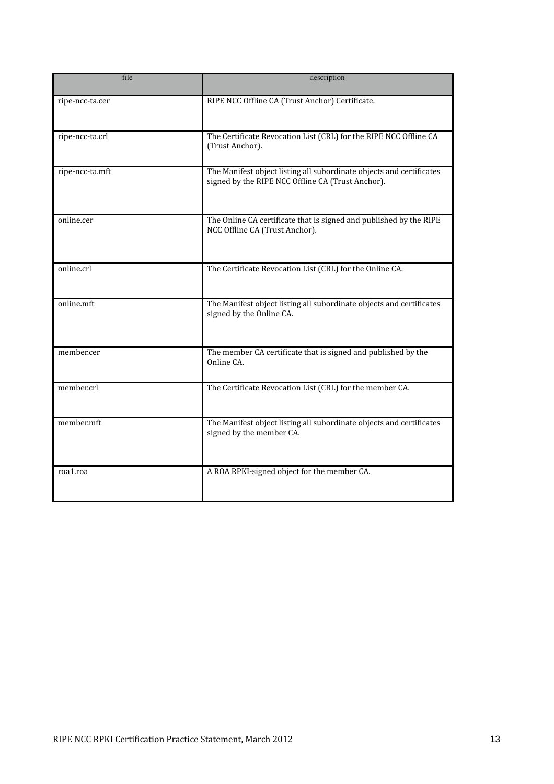| file            | description                                                                                                               |
|-----------------|---------------------------------------------------------------------------------------------------------------------------|
| ripe-ncc-ta.cer | RIPE NCC Offline CA (Trust Anchor) Certificate.                                                                           |
| ripe-ncc-ta.crl | The Certificate Revocation List (CRL) for the RIPE NCC Offline CA<br>(Trust Anchor).                                      |
| ripe-ncc-ta.mft | The Manifest object listing all subordinate objects and certificates<br>signed by the RIPE NCC Offline CA (Trust Anchor). |
| online.cer      | The Online CA certificate that is signed and published by the RIPE<br>NCC Offline CA (Trust Anchor).                      |
| online.crl      | The Certificate Revocation List (CRL) for the Online CA.                                                                  |
| online.mft      | The Manifest object listing all subordinate objects and certificates<br>signed by the Online CA.                          |
| member.cer      | The member CA certificate that is signed and published by the<br>Online CA.                                               |
| member.crl      | The Certificate Revocation List (CRL) for the member CA.                                                                  |
| member.mft      | The Manifest object listing all subordinate objects and certificates<br>signed by the member CA.                          |
| roa1.roa        | A ROA RPKI-signed object for the member CA.                                                                               |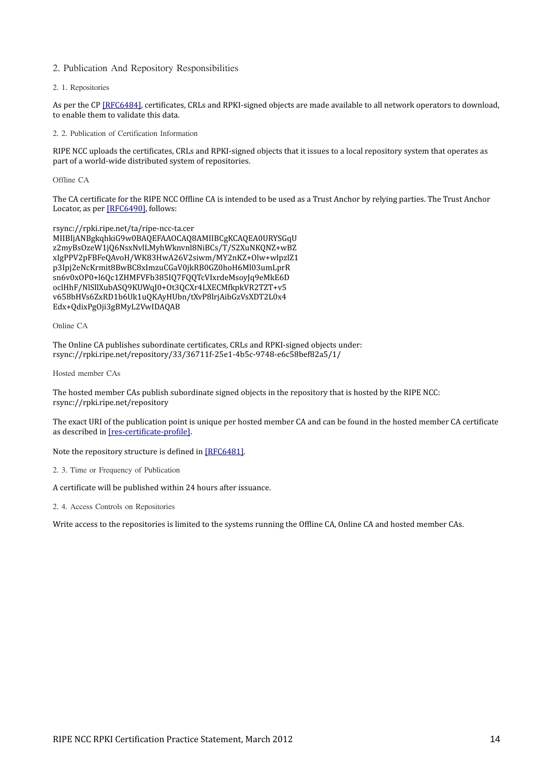# 2. Publication And Repository Responsibilities

2. 1. Repositories

As per the CP [\[RFC6484\],](#page-32-0) certificates, CRLs and RPKI-signed objects are made available to all network operators to download, to enable them to validate this data.

<span id="page-13-0"></span>2. 2. Publication of Certification Information

RIPE NCC uploads the certificates, CRLs and RPKI-signed objects that it issues to a local repository system that operates as part of a world-wide distributed system of repositories.

Offline CA

The CA certificate for the RIPE NCC Offline CA is intended to be used as a Trust Anchor by relying parties. The Trust Anchor Locator, as per [\[RFC6490\],](#page-32-6) follows:

rsync://rpki.ripe.net/ta/ripe-ncc-ta.cer MIIBIjANBgkqhkiG9w0BAQEFAAOCAQ8AMIIBCgKCAQEA0URYSGqU z2myBsOzeW1jQ6NsxNvlLMyhWknvnl8NiBCs/T/S2XuNKQNZ+wBZ xIgPPV2pFBFeQAvoH/WK83HwA26V2siwm/MY2nKZ+Olw+wlpzlZ1 p3Ipj2eNcKrmit8BwBC8xImzuCGaV0jkRB0GZ0hoH6Ml03umLprR sn6v0xOP0+l6Qc1ZHMFVFb385IQ7FQQTcVIxrdeMsoyJq9eMkE6D oclHhF/NlSllXubASQ9KUWqJ0+Ot3QCXr4LXECMfkpkVR2TZT+v5 v658bHVs6ZxRD1b6Uk1uQKAyHUbn/tXvP8lrjAibGzVsXDT2L0x4 Edx+QdixPgOji3gBMyL2VwIDAQAB

Online CA

The Online CA publishes subordinate certificates, CRLs and RPKI-signed objects under: rsync://rpki.ripe.net/repository/33/36711f-25e1-4b5c-9748-e6c58bef82a5/1/

Hosted member CAs

The hosted member CAs publish subordinate signed objects in the repository that is hosted by the RIPE NCC: rsync://rpki.ripe.net/repository

The exact URI of the publication point is unique per hosted member CA and can be found in the hosted member CA certificate as described in [\[res-certificate-profile\].](#page-32-1)

#### Note the repository structure is defined in [\[RFC6481\].](#page-32-5)

<span id="page-13-1"></span>2. 3. Time or Frequency of Publication

A certificate will be published within 24 hours after issuance.

2. 4. Access Controls on Repositories

Write access to the repositories is limited to the systems running the Offline CA, Online CA and hosted member CAs.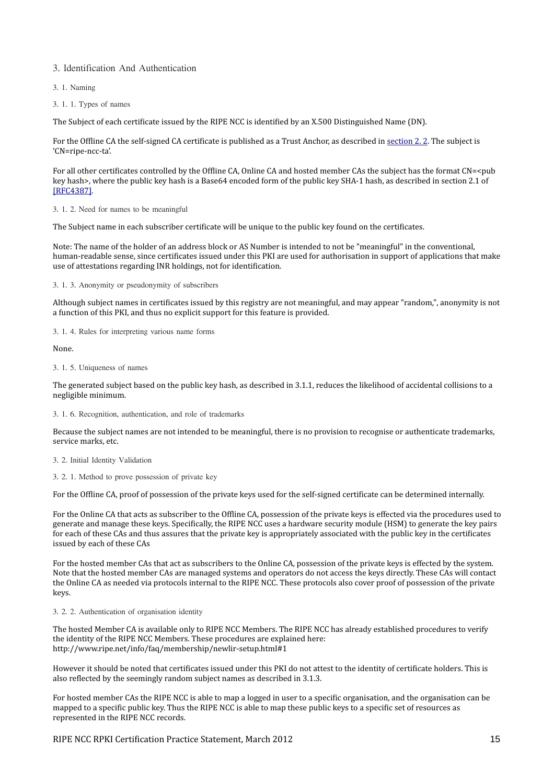# 3. Identification And Authentication

- 3. 1. Naming
- 3. 1. 1. Types of names

The Subject of each certificate issued by the RIPE NCC is identified by an X.500 Distinguished Name (DN).

For the Offline CA the self-signed CA certificate is published as a Trust Anchor, as described in [section 2. 2.](#page-13-0) The subject is 'CN=ripe-ncc-ta'.

For all other certificates controlled by the Offline CA, Online CA and hosted member CAs the subject has the format CN=<pub key hash>, where the public key hash is a Base64 encoded form of the public key SHA-1 hash, as described in section 2.1 of [\[RFC4387\].](#page-32-7)

3. 1. 2. Need for names to be meaningful

The Subject name in each subscriber certificate will be unique to the public key found on the certificates.

Note: The name of the holder of an address block or AS Number is intended to not be "meaningful" in the conventional, human-readable sense, since certificates issued under this PKI are used for authorisation in support of applications that make use of attestations regarding INR holdings, not for identification.

3. 1. 3. Anonymity or pseudonymity of subscribers

Although subject names in certificates issued by this registry are not meaningful, and may appear "random,", anonymity is not a function of this PKI, and thus no explicit support for this feature is provided.

3. 1. 4. Rules for interpreting various name forms

None.

3. 1. 5. Uniqueness of names

The generated subject based on the public key hash, as described in 3.1.1, reduces the likelihood of accidental collisions to a negligible minimum.

3. 1. 6. Recognition, authentication, and role of trademarks

Because the subject names are not intended to be meaningful, there is no provision to recognise or authenticate trademarks, service marks, etc.

3. 2. Initial Identity Validation

3. 2. 1. Method to prove possession of private key

For the Offline CA, proof of possession of the private keys used for the self-signed certificate can be determined internally.

For the Online CA that acts as subscriber to the Offline CA, possession of the private keys is effected via the procedures used to generate and manage these keys. Specifically, the RIPE NCC uses a hardware security module (HSM) to generate the key pairs for each of these CAs and thus assures that the private key is appropriately associated with the public key in the certificates issued by each of these CAs

For the hosted member CAs that act as subscribers to the Online CA, possession of the private keys is effected by the system. Note that the hosted member CAs are managed systems and operators do not access the keys directly. These CAs will contact the Online CA as needed via protocols internal to the RIPE NCC. These protocols also cover proof of possession of the private keys.

# 3. 2. 2. Authentication of organisation identity

The hosted Member CA is available only to RIPE NCC Members. The RIPE NCC has already established procedures to verify the identity of the RIPE NCC Members. These procedures are explained here: http://www.ripe.net/info/faq/membership/newlir-setup.html#1

However it should be noted that certificates issued under this PKI do not attest to the identity of certificate holders. This is also reflected by the seemingly random subject names as described in 3.1.3.

For hosted member CAs the RIPE NCC is able to map a logged in user to a specific organisation, and the organisation can be mapped to a specific public key. Thus the RIPE NCC is able to map these public keys to a specific set of resources as represented in the RIPE NCC records.

RIPE NCC RPKI Certification Practice Statement, March 2012 15 15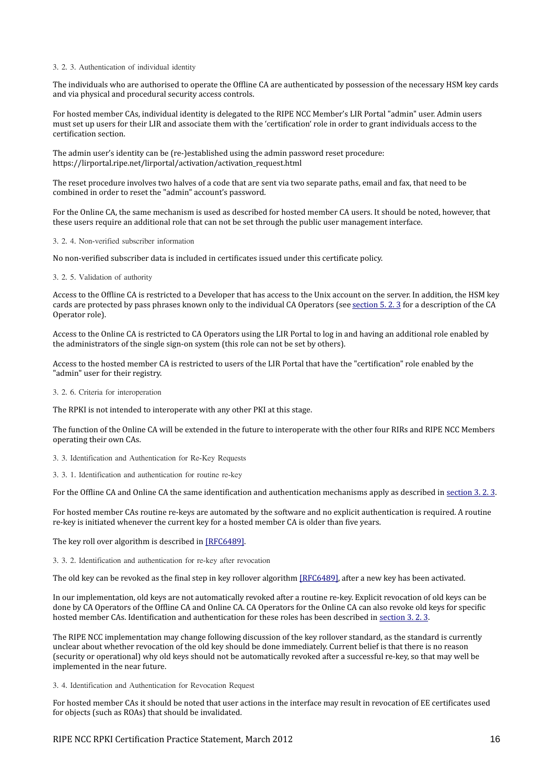#### <span id="page-15-1"></span>3. 2. 3. Authentication of individual identity

The individuals who are authorised to operate the Offline CA are authenticated by possession of the necessary HSM key cards and via physical and procedural security access controls.

For hosted member CAs, individual identity is delegated to the RIPE NCC Member's LIR Portal "admin" user. Admin users must set up users for their LIR and associate them with the 'certification' role in order to grant individuals access to the certification section.

The admin user's identity can be (re-)established using the admin password reset procedure: https://lirportal.ripe.net/lirportal/activation/activation\_request.html

The reset procedure involves two halves of a code that are sent via two separate paths, email and fax, that need to be combined in order to reset the "admin" account's password.

For the Online CA, the same mechanism is used as described for hosted member CA users. It should be noted, however, that these users require an additional role that can not be set through the public user management interface.

#### 3. 2. 4. Non-verified subscriber information

No non-verified subscriber data is included in certificates issued under this certificate policy.

#### 3. 2. 5. Validation of authority

Access to the Offline CA is restricted to a Developer that has access to the Unix account on the server. In addition, the HSM key cards are protected by pass phrases known only to the individual CA Operators (see [section 5. 2. 3](#page-23-0) for a description of the CA Operator role).

Access to the Online CA is restricted to CA Operators using the LIR Portal to log in and having an additional role enabled by the administrators of the single sign-on system (this role can not be set by others).

Access to the hosted member CA is restricted to users of the LIR Portal that have the "certification" role enabled by the "admin" user for their registry.

# <span id="page-15-0"></span>3. 2. 6. Criteria for interoperation

The RPKI is not intended to interoperate with any other PKI at this stage.

The function of the Online CA will be extended in the future to interoperate with the other four RIRs and RIPE NCC Members operating their own CAs.

3. 3. Identification and Authentication for Re-Key Requests

3. 3. 1. Identification and authentication for routine re-key

For the Offline CA and Online CA the same identification and authentication mechanisms apply as described in [section 3. 2. 3.](#page-15-1)

For hosted member CAs routine re-keys are automated by the software and no explicit authentication is required. A routine re-key is initiated whenever the current key for a hosted member CA is older than five years.

The key roll over algorithm is described in [\[RFC6489\].](#page-32-8)

3. 3. 2. Identification and authentication for re-key after revocation

The old key can be revoked as the final step in key rollover algorithm [\[RFC6489\],](#page-32-8) after a new key has been activated.

In our implementation, old keys are not automatically revoked after a routine re-key. Explicit revocation of old keys can be done by CA Operators of the Offline CA and Online CA. CA Operators for the Online CA can also revoke old keys for specific hosted member CAs. Identification and authentication for these roles has been described in [section 3. 2. 3.](#page-15-1)

The RIPE NCC implementation may change following discussion of the key rollover standard, as the standard is currently unclear about whether revocation of the old key should be done immediately. Current belief is that there is no reason (security or operational) why old keys should not be automatically revoked after a successful re-key, so that may well be implemented in the near future.

3. 4. Identification and Authentication for Revocation Request

For hosted member CAs it should be noted that user actions in the interface may result in revocation of EE certificates used for objects (such as ROAs) that should be invalidated.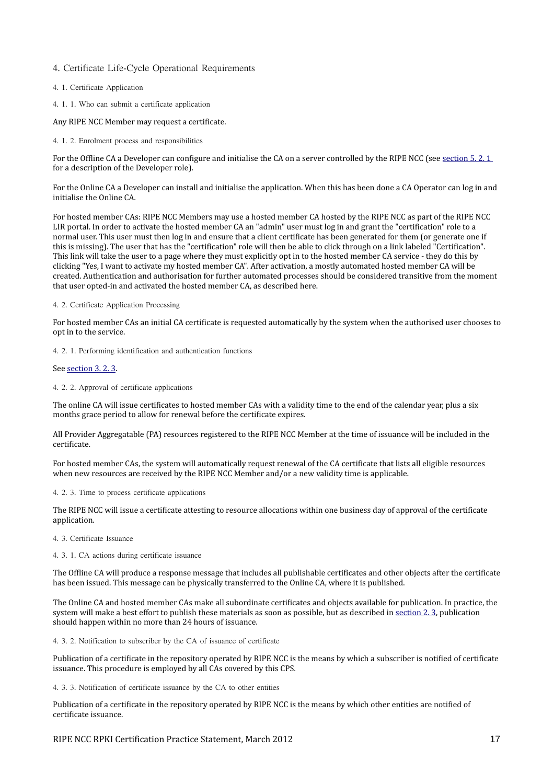# 4. Certificate Life-Cycle Operational Requirements

# 4. 1. Certificate Application

4. 1. 1. Who can submit a certificate application

#### Any RIPE NCC Member may request a certificate.

<span id="page-16-3"></span>4. 1. 2. Enrolment process and responsibilities

For the Offline CA a Developer can configure and initialise the CA on a server controlled by the RIPE NCC (see section 5.2.1 for a description of the Developer role).

For the Online CA a Developer can install and initialise the application. When this has been done a CA Operator can log in and initialise the Online CA.

For hosted member CAs: RIPE NCC Members may use a hosted member CA hosted by the RIPE NCC as part of the RIPE NCC LIR portal. In order to activate the hosted member CA an "admin" user must log in and grant the "certification" role to a normal user. This user must then log in and ensure that a client certificate has been generated for them (or generate one if this is missing). The user that has the "certification" role will then be able to click through on a link labeled "Certification". This link will take the user to a page where they must explicitly opt in to the hosted member CA service - they do this by clicking "Yes, I want to activate my hosted member CA". After activation, a mostly automated hosted member CA will be created. Authentication and authorisation for further automated processes should be considered transitive from the moment that user opted-in and activated the hosted member CA, as described here.

### 4. 2. Certificate Application Processing

For hosted member CAs an initial CA certificate is requested automatically by the system when the authorised user chooses to opt in to the service.

4. 2. 1. Performing identification and authentication functions

#### See [section 3. 2. 3.](#page-15-1)

### <span id="page-16-1"></span>4. 2. 2. Approval of certificate applications

The online CA will issue certificates to hosted member CAs with a validity time to the end of the calendar year, plus a six months grace period to allow for renewal before the certificate expires.

All Provider Aggregatable (PA) resources registered to the RIPE NCC Member at the time of issuance will be included in the certificate.

For hosted member CAs, the system will automatically request renewal of the CA certificate that lists all eligible resources when new resources are received by the RIPE NCC Member and/or a new validity time is applicable.

#### 4. 2. 3. Time to process certificate applications

The RIPE NCC will issue a certificate attesting to resource allocations within one business day of approval of the certificate application.

#### 4. 3. Certificate Issuance

#### 4. 3. 1. CA actions during certificate issuance

The Offline CA will produce a response message that includes all publishable certificates and other objects after the certificate has been issued. This message can be physically transferred to the Online CA, where it is published.

The Online CA and hosted member CAs make all subordinate certificates and objects available for publication. In practice, the system will make a best effort to publish these materials as soon as possible, but as described in [section 2. 3,](#page-13-1) publication should happen within no more than 24 hours of issuance.

<span id="page-16-0"></span>4. 3. 2. Notification to subscriber by the CA of issuance of certificate

Publication of a certificate in the repository operated by RIPE NCC is the means by which a subscriber is notified of certificate issuance. This procedure is employed by all CAs covered by this CPS.

<span id="page-16-2"></span>4. 3. 3. Notification of certificate issuance by the CA to other entities

Publication of a certificate in the repository operated by RIPE NCC is the means by which other entities are notified of certificate issuance.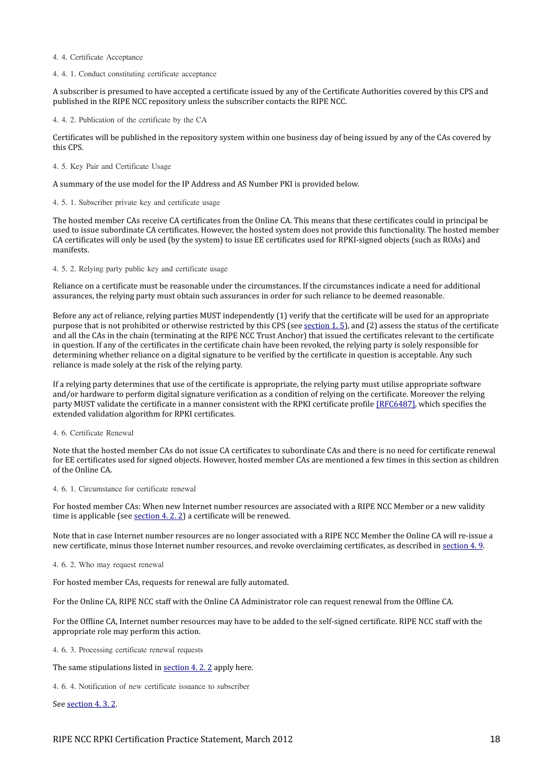#### 4. 4. Certificate Acceptance

#### <span id="page-17-1"></span>4. 4. 1. Conduct constituting certificate acceptance

A subscriber is presumed to have accepted a certificate issued by any of the Certificate Authorities covered by this CPS and published in the RIPE NCC repository unless the subscriber contacts the RIPE NCC.

4. 4. 2. Publication of the certificate by the CA

Certificates will be published in the repository system within one business day of being issued by any of the CAs covered by this CPS.

#### 4. 5. Key Pair and Certificate Usage

A summary of the use model for the IP Address and AS Number PKI is provided below.

#### 4. 5. 1. Subscriber private key and certificate usage

The hosted member CAs receive CA certificates from the Online CA. This means that these certificates could in principal be used to issue subordinate CA certificates. However, the hosted system does not provide this functionality. The hosted member CA certificates will only be used (by the system) to issue EE certificates used for RPKI-signed objects (such as ROAs) and manifests.

#### 4. 5. 2. Relying party public key and certificate usage

Reliance on a certificate must be reasonable under the circumstances. If the circumstances indicate a need for additional assurances, the relying party must obtain such assurances in order for such reliance to be deemed reasonable.

Before any act of reliance, relying parties MUST independently (1) verify that the certificate will be used for an appropriate purpose that is not prohibited or otherwise restricted by this CPS (see [section 1. 5\)](#page-9-3), and (2) assess the status of the certificate and all the CAs in the chain (terminating at the RIPE NCC Trust Anchor) that issued the certificates relevant to the certificate in question. If any of the certificates in the certificate chain have been revoked, the relying party is solely responsible for determining whether reliance on a digital signature to be verified by the certificate in question is acceptable. Any such reliance is made solely at the risk of the relying party.

If a relying party determines that use of the certificate is appropriate, the relying party must utilise appropriate software and/or hardware to perform digital signature verification as a condition of relying on the certificate. Moreover the relying party MUST validate the certificate in a manner consistent with the RPKI certificate profile [\[RFC6487\],](#page-32-9) which specifies the extended validation algorithm for RPKI certificates.

# <span id="page-17-0"></span>4. 6. Certificate Renewal

Note that the hosted member CAs do not issue CA certificates to subordinate CAs and there is no need for certificate renewal for EE certificates used for signed objects. However, hosted member CAs are mentioned a few times in this section as children of the Online CA.

#### 4. 6. 1. Circumstance for certificate renewal

For hosted member CAs: When new Internet number resources are associated with a RIPE NCC Member or a new validity time is applicable (see [section 4. 2. 2\)](#page-16-1) a certificate will be renewed.

Note that in case Internet number resources are no longer associated with a RIPE NCC Member the Online CA will re-issue a new certificate, minus those Internet number resources, and revoke overclaiming certificates, as described in [section 4. 9.](#page-19-0)

#### 4. 6. 2. Who may request renewal

For hosted member CAs, requests for renewal are fully automated.

For the Online CA, RIPE NCC staff with the Online CA Administrator role can request renewal from the Offline CA.

For the Offline CA, Internet number resources may have to be added to the self-signed certificate. RIPE NCC staff with the appropriate role may perform this action.

4. 6. 3. Processing certificate renewal requests

The same stipulations listed in [section 4. 2. 2](#page-16-1) apply here.

4. 6. 4. Notification of new certificate issuance to subscriber

See section 4.3.2.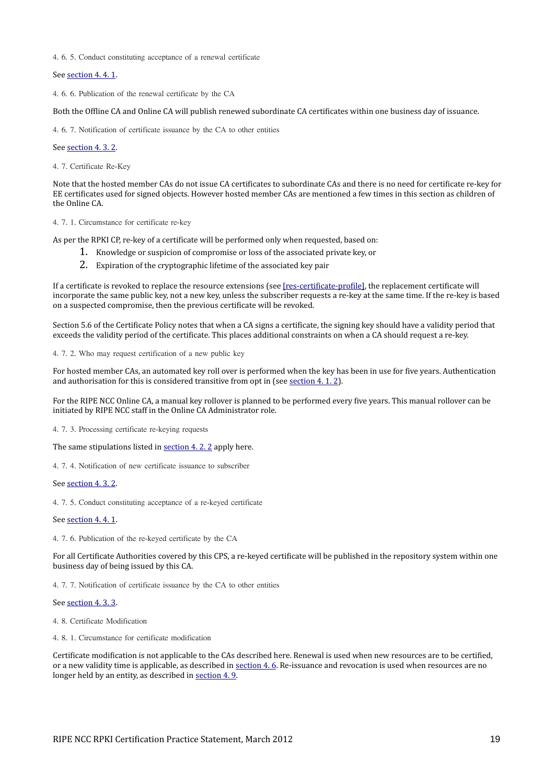4. 6. 5. Conduct constituting acceptance of a renewal certificate

See section 4.4.1.

4. 6. 6. Publication of the renewal certificate by the CA

Both the Offline CA and Online CA will publish renewed subordinate CA certificates within one business day of issuance.

4. 6. 7. Notification of certificate issuance by the CA to other entities

#### See [section 4. 3. 2.](#page-16-0)

4. 7. Certificate Re-Key

Note that the hosted member CAs do not issue CA certificates to subordinate CAs and there is no need for certificate re-key for EE certificates used for signed objects. However hosted member CAs are mentioned a few times in this section as children of the Online CA.

# 4. 7. 1. Circumstance for certificate re-key

As per the RPKI CP, re-key of a certificate will be performed only when requested, based on:

- 1. Knowledge or suspicion of compromise or loss of the associated private key, or
- 2. Expiration of the cryptographic lifetime of the associated key pair

If a certificate is revoked to replace the resource extensions (see [\[res-certificate-profile\],](#page-32-1) the replacement certificate will incorporate the same public key, not a new key, unless the subscriber requests a re-key at the same time. If the re-key is based on a suspected compromise, then the previous certificate will be revoked.

Section 5.6 of the Certificate Policy notes that when a CA signs a certificate, the signing key should have a validity period that exceeds the validity period of the certificate. This places additional constraints on when a CA should request a re-key.

4. 7. 2. Who may request certification of a new public key

For hosted member CAs, an automated key roll over is performed when the key has been in use for five years. Authentication and authorisation for this is considered transitive from opt in (see [section 4. 1. 2\)](#page-16-3).

For the RIPE NCC Online CA, a manual key rollover is planned to be performed every five years. This manual rollover can be initiated by RIPE NCC staff in the Online CA Administrator role.

4. 7. 3. Processing certificate re-keying requests

The same stipulations listed in [section 4. 2. 2](#page-16-1) apply here.

4. 7. 4. Notification of new certificate issuance to subscriber

See [section 4. 3. 2.](#page-16-0)

4. 7. 5. Conduct constituting acceptance of a re-keyed certificate

#### See [section 4. 4. 1.](#page-17-1)

4. 7. 6. Publication of the re-keyed certificate by the CA

For all Certificate Authorities covered by this CPS, a re-keyed certificate will be published in the repository system within one business day of being issued by this CA.

4. 7. 7. Notification of certificate issuance by the CA to other entities

#### See section 4.3.3.

4. 8. Certificate Modification

4. 8. 1. Circumstance for certificate modification

Certificate modification is not applicable to the CAs described here. Renewal is used when new resources are to be certified, or a new validity time is applicable, as described in [section 4. 6.](#page-17-0) Re-issuance and revocation is used when resources are no longer held by an entity, as described in [section 4. 9.](#page-19-0)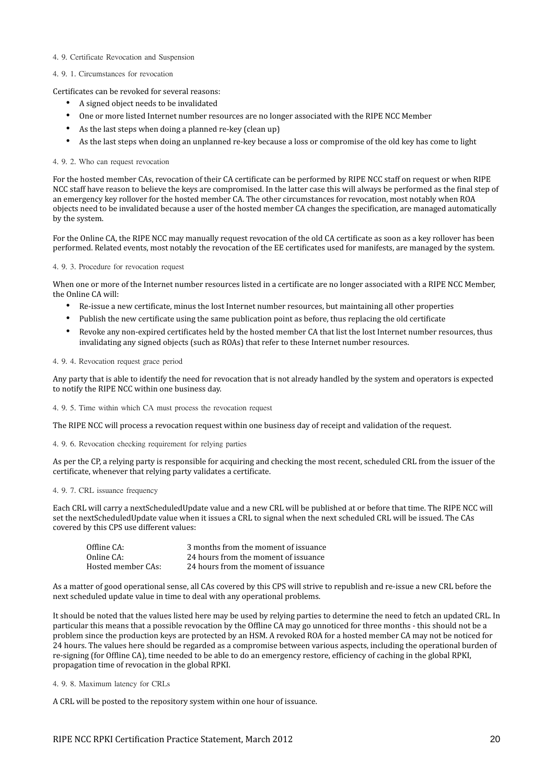#### <span id="page-19-0"></span>4. 9. Certificate Revocation and Suspension

### 4. 9. 1. Circumstances for revocation

Certificates can be revoked for several reasons:

- A signed object needs to be invalidated
- One or more listed Internet number resources are no longer associated with the RIPE NCC Member
- As the last steps when doing a planned re-key (clean up)
- As the last steps when doing an unplanned re-key because a loss or compromise of the old key has come to light

#### 4. 9. 2. Who can request revocation

For the hosted member CAs, revocation of their CA certificate can be performed by RIPE NCC staff on request or when RIPE NCC staff have reason to believe the keys are compromised. In the latter case this will always be performed as the final step of an emergency key rollover for the hosted member CA. The other circumstances for revocation, most notably when ROA objects need to be invalidated because a user of the hosted member CA changes the specification, are managed automatically by the system.

For the Online CA, the RIPE NCC may manually request revocation of the old CA certificate as soon as a key rollover has been performed. Related events, most notably the revocation of the EE certificates used for manifests, are managed by the system.

#### 4. 9. 3. Procedure for revocation request

When one or more of the Internet number resources listed in a certificate are no longer associated with a RIPE NCC Member, the Online CA will:

- Re-issue a new certificate, minus the lost Internet number resources, but maintaining all other properties
- Publish the new certificate using the same publication point as before, thus replacing the old certificate
- Revoke any non-expired certificates held by the hosted member CA that list the lost Internet number resources, thus invalidating any signed objects (such as ROAs) that refer to these Internet number resources.

# 4. 9. 4. Revocation request grace period

Any party that is able to identify the need for revocation that is not already handled by the system and operators is expected to notify the RIPE NCC within one business day.

4. 9. 5. Time within which CA must process the revocation request

The RIPE NCC will process a revocation request within one business day of receipt and validation of the request.

4. 9. 6. Revocation checking requirement for relying parties

As per the CP, a relying party is responsible for acquiring and checking the most recent, scheduled CRL from the issuer of the certificate, whenever that relying party validates a certificate.

#### 4. 9. 7. CRL issuance frequency

Each CRL will carry a nextScheduledUpdate value and a new CRL will be published at or before that time. The RIPE NCC will set the nextScheduledUpdate value when it issues a CRL to signal when the next scheduled CRL will be issued. The CAs covered by this CPS use different values:

| Offline CA:        | 3 months from the moment of issuance |
|--------------------|--------------------------------------|
| Online CA:         | 24 hours from the moment of issuance |
| Hosted member CAs: | 24 hours from the moment of issuance |

As a matter of good operational sense, all CAs covered by this CPS will strive to republish and re-issue a new CRL before the next scheduled update value in time to deal with any operational problems.

It should be noted that the values listed here may be used by relying parties to determine the need to fetch an updated CRL. In particular this means that a possible revocation by the Offline CA may go unnoticed for three months - this should not be a problem since the production keys are protected by an HSM. A revoked ROA for a hosted member CA may not be noticed for 24 hours. The values here should be regarded as a compromise between various aspects, including the operational burden of re-signing (for Offline CA), time needed to be able to do an emergency restore, efficiency of caching in the global RPKI, propagation time of revocation in the global RPKI.

4. 9. 8. Maximum latency for CRLs

A CRL will be posted to the repository system within one hour of issuance.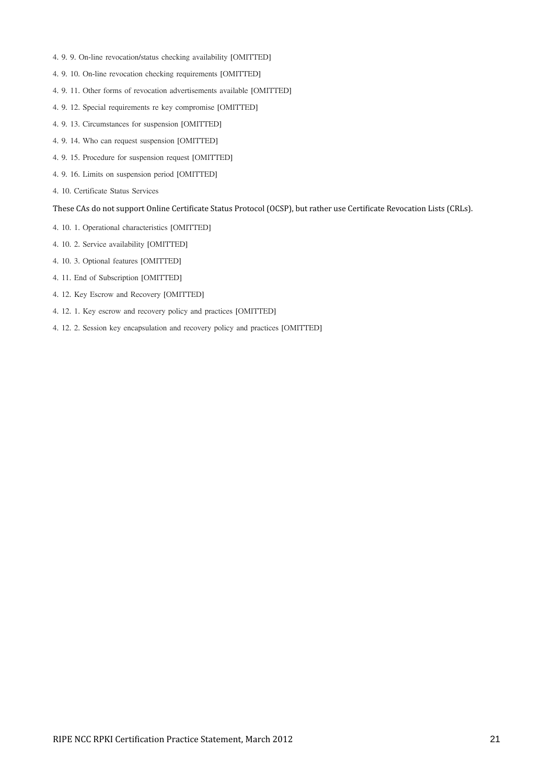- 4. 9. 9. On-line revocation/status checking availability [OMITTED]
- 4. 9. 10. On-line revocation checking requirements [OMITTED]
- 4. 9. 11. Other forms of revocation advertisements available [OMITTED]
- 4. 9. 12. Special requirements re key compromise [OMITTED]
- 4. 9. 13. Circumstances for suspension [OMITTED]
- 4. 9. 14. Who can request suspension [OMITTED]
- 4. 9. 15. Procedure for suspension request [OMITTED]
- 4. 9. 16. Limits on suspension period [OMITTED]
- 4. 10. Certificate Status Services

# These CAs do not support Online Certificate Status Protocol (OCSP), but rather use Certificate Revocation Lists (CRLs).

- 4. 10. 1. Operational characteristics [OMITTED]
- 4. 10. 2. Service availability [OMITTED]
- 4. 10. 3. Optional features [OMITTED]
- 4. 11. End of Subscription [OMITTED]
- 4. 12. Key Escrow and Recovery [OMITTED]
- 4. 12. 1. Key escrow and recovery policy and practices [OMITTED]
- 4. 12. 2. Session key encapsulation and recovery policy and practices [OMITTED]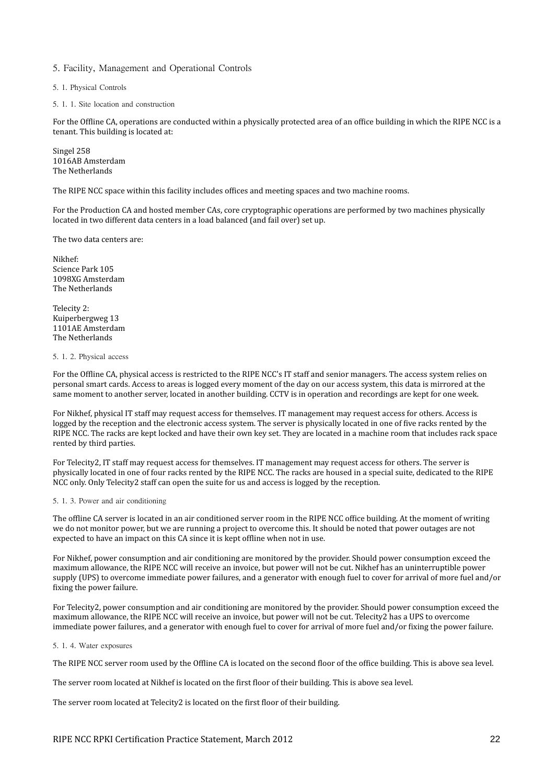# 5. Facility, Management and Operational Controls

5. 1. Physical Controls

5. 1. 1. Site location and construction

For the Offline CA, operations are conducted within a physically protected area of an office building in which the RIPE NCC is a tenant. This building is located at:

Singel 258 1016AB Amsterdam The Netherlands

The RIPE NCC space within this facility includes offices and meeting spaces and two machine rooms.

For the Production CA and hosted member CAs, core cryptographic operations are performed by two machines physically located in two different data centers in a load balanced (and fail over) set up.

The two data centers are:

Nikhef: Science Park 105 1098XG Amsterdam The Netherlands

Telecity 2: Kuiperbergweg 13 1101AE Amsterdam The Netherlands

#### <span id="page-21-0"></span>5. 1. 2. Physical access

For the Offline CA, physical access is restricted to the RIPE NCC's IT staff and senior managers. The access system relies on personal smart cards. Access to areas is logged every moment of the day on our access system, this data is mirrored at the same moment to another server, located in another building. CCTV is in operation and recordings are kept for one week.

For Nikhef, physical IT staff may request access for themselves. IT management may request access for others. Access is logged by the reception and the electronic access system. The server is physically located in one of five racks rented by the RIPE NCC. The racks are kept locked and have their own key set. They are located in a machine room that includes rack space rented by third parties.

For Telecity2, IT staff may request access for themselves. IT management may request access for others. The server is physically located in one of four racks rented by the RIPE NCC. The racks are housed in a special suite, dedicated to the RIPE NCC only. Only Telecity2 staff can open the suite for us and access is logged by the reception.

#### 5. 1. 3. Power and air conditioning

The offline CA server is located in an air conditioned server room in the RIPE NCC office building. At the moment of writing we do not monitor power, but we are running a project to overcome this. It should be noted that power outages are not expected to have an impact on this CA since it is kept offline when not in use.

For Nikhef, power consumption and air conditioning are monitored by the provider. Should power consumption exceed the maximum allowance, the RIPE NCC will receive an invoice, but power will not be cut. Nikhef has an uninterruptible power supply (UPS) to overcome immediate power failures, and a generator with enough fuel to cover for arrival of more fuel and/or fixing the power failure.

For Telecity2, power consumption and air conditioning are monitored by the provider. Should power consumption exceed the maximum allowance, the RIPE NCC will receive an invoice, but power will not be cut. Telecity2 has a UPS to overcome immediate power failures, and a generator with enough fuel to cover for arrival of more fuel and/or fixing the power failure.

# 5. 1. 4. Water exposures

The RIPE NCC server room used by the Offline CA is located on the second floor of the office building. This is above sea level.

The server room located at Nikhef is located on the first floor of their building. This is above sea level.

The server room located at Telecity2 is located on the first floor of their building.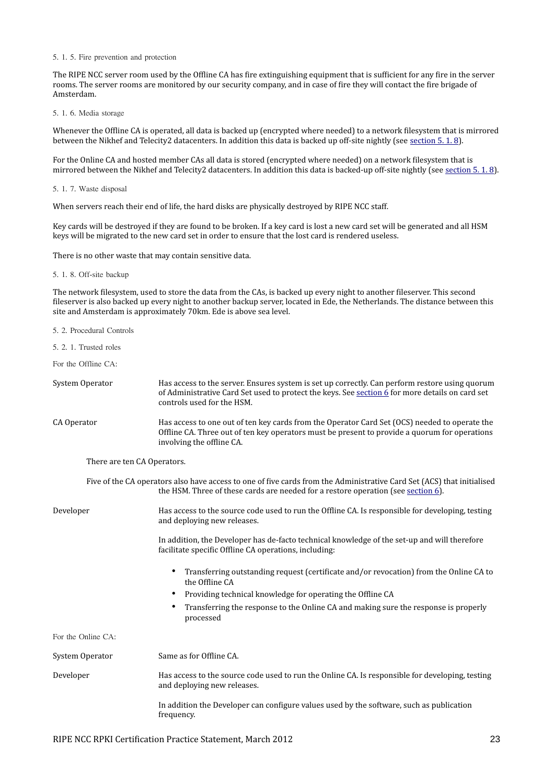#### 5. 1. 5. Fire prevention and protection

The RIPE NCC server room used by the Offline CA has fire extinguishing equipment that is sufficient for any fire in the server rooms. The server rooms are monitored by our security company, and in case of fire they will contact the fire brigade of Amsterdam.

### 5. 1. 6. Media storage

Whenever the Offline CA is operated, all data is backed up (encrypted where needed) to a network filesystem that is mirrored between the Nikhef and Telecity2 datacenters. In addition this data is backed up off-site nightly (see [section 5. 1. 8\)](#page-22-1).

For the Online CA and hosted member CAs all data is stored (encrypted where needed) on a network filesystem that is mirrored between the Nikhef and Telecity2 datacenters. In addition this data is backed-up off-site nightly (see [section 5. 1. 8\)](#page-22-1).

#### 5. 1. 7. Waste disposal

When servers reach their end of life, the hard disks are physically destroyed by RIPE NCC staff.

Key cards will be destroyed if they are found to be broken. If a key card is lost a new card set will be generated and all HSM keys will be migrated to the new card set in order to ensure that the lost card is rendered useless.

There is no other waste that may contain sensitive data.

# <span id="page-22-1"></span>5. 1. 8. Off-site backup

The network filesystem, used to store the data from the CAs, is backed up every night to another fileserver. This second fileserver is also backed up every night to another backup server, located in Ede, the Netherlands. The distance between this site and Amsterdam is approximately 70km. Ede is above sea level.

- 5. 2. Procedural Controls
- <span id="page-22-0"></span>5. 2. 1. Trusted roles

For the Offline CA:

| System Operator             | Has access to the server. Ensures system is set up correctly. Can perform restore using quorum<br>of Administrative Card Set used to protect the keys. See section 6 for more details on card set<br>controls used for the HSM. |
|-----------------------------|---------------------------------------------------------------------------------------------------------------------------------------------------------------------------------------------------------------------------------|
| CA Operator                 | Has access to one out of ten key cards from the Operator Card Set (OCS) needed to operate the<br>Offline CA. Three out of ten key operators must be present to provide a quorum for operations<br>involving the offline CA.     |
| There are ten CA Operators. |                                                                                                                                                                                                                                 |

Five of the CA operators also have access to one of five cards from the Administrative Card Set (ACS) that initialised the HSM. Three of these cards are needed for a restore operation (see [section 6\)](#page-26-0).

Developer Has access to the source code used to run the Offline CA. Is responsible for developing, testing and deploying new releases.

> In addition, the Developer has de-facto technical knowledge of the set-up and will therefore facilitate specific Offline CA operations, including:

- Transferring outstanding request (certificate and/or revocation) from the Online CA to the Offline CA
- Providing technical knowledge for operating the Offline CA
- Transferring the response to the Online CA and making sure the response is properly processed

For the Online CA:

System Operator Same as for Offline CA. Developer Has access to the source code used to run the Online CA. Is responsible for developing, testing and deploying new releases. In addition the Developer can configure values used by the software, such as publication frequency.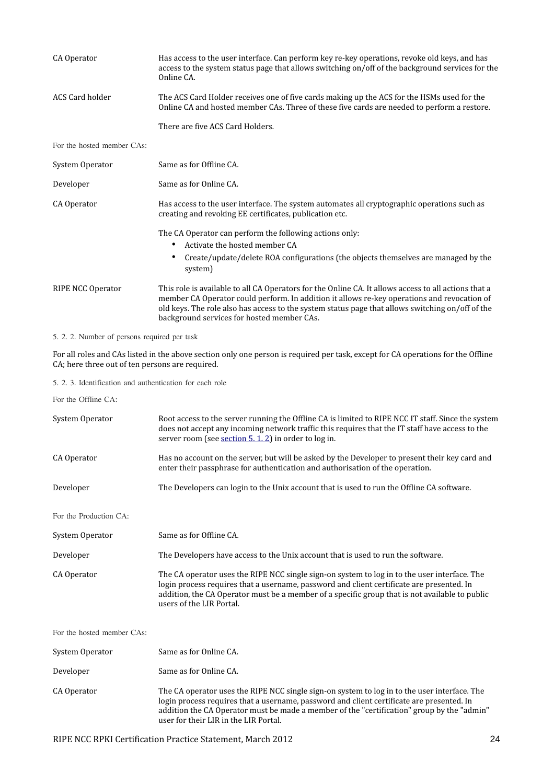| CA Operator                | Has access to the user interface. Can perform key re-key operations, revoke old keys, and has<br>access to the system status page that allows switching on/off of the background services for the<br>Online CA.                                                                                                                                       |
|----------------------------|-------------------------------------------------------------------------------------------------------------------------------------------------------------------------------------------------------------------------------------------------------------------------------------------------------------------------------------------------------|
| <b>ACS Card holder</b>     | The ACS Card Holder receives one of five cards making up the ACS for the HSMs used for the<br>Online CA and hosted member CAs. Three of these five cards are needed to perform a restore.                                                                                                                                                             |
|                            | There are five ACS Card Holders.                                                                                                                                                                                                                                                                                                                      |
| For the hosted member CAs: |                                                                                                                                                                                                                                                                                                                                                       |
| System Operator            | Same as for Offline CA.                                                                                                                                                                                                                                                                                                                               |
| Developer                  | Same as for Online CA.                                                                                                                                                                                                                                                                                                                                |
| CA Operator                | Has access to the user interface. The system automates all cryptographic operations such as<br>creating and revoking EE certificates, publication etc.                                                                                                                                                                                                |
|                            | The CA Operator can perform the following actions only:<br>Activate the hosted member CA<br>٠                                                                                                                                                                                                                                                         |
|                            | Create/update/delete ROA configurations (the objects themselves are managed by the<br>٠<br>system)                                                                                                                                                                                                                                                    |
| RIPE NCC Operator          | This role is available to all CA Operators for the Online CA. It allows access to all actions that a<br>member CA Operator could perform. In addition it allows re-key operations and revocation of<br>old keys. The role also has access to the system status page that allows switching on/off of the<br>background services for hosted member CAs. |

# 5. 2. 2. Number of persons required per task

For all roles and CAs listed in the above section only one person is required per task, except for CA operations for the Offline CA; here three out of ten persons are required.

<span id="page-23-0"></span>5. 2. 3. Identification and authentication for each role

For the Offline CA:

| System Operator            | Root access to the server running the Offline CA is limited to RIPE NCC IT staff. Since the system<br>does not accept any incoming network traffic this requires that the IT staff have access to the<br>server room (see section $5.1.2$ ) in order to log in.                                                                  |
|----------------------------|----------------------------------------------------------------------------------------------------------------------------------------------------------------------------------------------------------------------------------------------------------------------------------------------------------------------------------|
| CA Operator                | Has no account on the server, but will be asked by the Developer to present their key card and<br>enter their passphrase for authentication and authorisation of the operation.                                                                                                                                                  |
| Developer                  | The Developers can login to the Unix account that is used to run the Offline CA software.                                                                                                                                                                                                                                        |
| For the Production CA:     |                                                                                                                                                                                                                                                                                                                                  |
| System Operator            | Same as for Offline CA.                                                                                                                                                                                                                                                                                                          |
| Developer                  | The Developers have access to the Unix account that is used to run the software.                                                                                                                                                                                                                                                 |
| CA Operator                | The CA operator uses the RIPE NCC single sign-on system to log in to the user interface. The<br>login process requires that a username, password and client certificate are presented. In<br>addition, the CA Operator must be a member of a specific group that is not available to public<br>users of the LIR Portal.          |
| For the hosted member CAs: |                                                                                                                                                                                                                                                                                                                                  |
| System Operator            | Same as for Online CA.                                                                                                                                                                                                                                                                                                           |
| Developer                  | Same as for Online CA.                                                                                                                                                                                                                                                                                                           |
| CA Operator                | The CA operator uses the RIPE NCC single sign-on system to log in to the user interface. The<br>login process requires that a username, password and client certificate are presented. In<br>addition the CA Operator must be made a member of the "certification" group by the "admin"<br>user for their LIR in the LIR Portal. |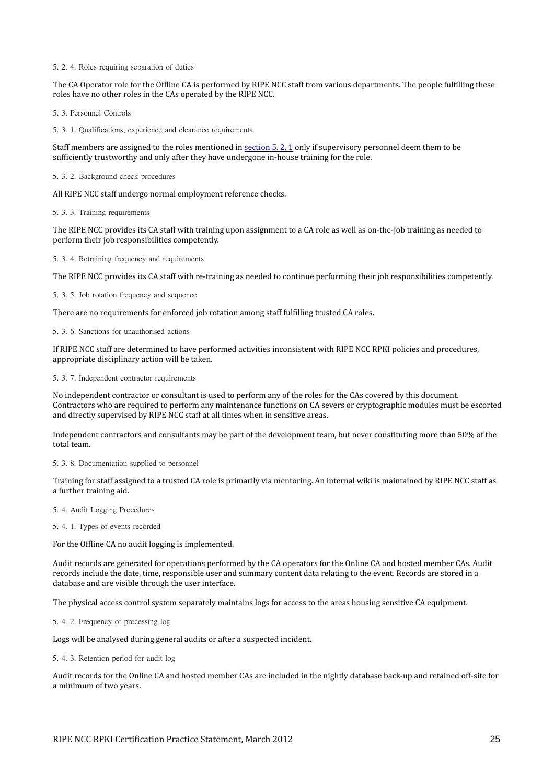5. 2. 4. Roles requiring separation of duties

The CA Operator role for the Offline CA is performed by RIPE NCC staff from various departments. The people fulfilling these roles have no other roles in the CAs operated by the RIPE NCC.

5. 3. Personnel Controls

5. 3. 1. Qualifications, experience and clearance requirements

Staff members are assigned to the roles mentioned in section 5.2.1 only if supervisory personnel deem them to be sufficiently trustworthy and only after they have undergone in-house training for the role.

5. 3. 2. Background check procedures

All RIPE NCC staff undergo normal employment reference checks.

5. 3. 3. Training requirements

The RIPE NCC provides its CA staff with training upon assignment to a CA role as well as on-the-job training as needed to perform their job responsibilities competently.

5. 3. 4. Retraining frequency and requirements

The RIPE NCC provides its CA staff with re-training as needed to continue performing their job responsibilities competently.

5. 3. 5. Job rotation frequency and sequence

There are no requirements for enforced job rotation among staff fulfilling trusted CA roles.

5. 3. 6. Sanctions for unauthorised actions

If RIPE NCC staff are determined to have performed activities inconsistent with RIPE NCC RPKI policies and procedures, appropriate disciplinary action will be taken.

5. 3. 7. Independent contractor requirements

No independent contractor or consultant is used to perform any of the roles for the CAs covered by this document. Contractors who are required to perform any maintenance functions on CA severs or cryptographic modules must be escorted and directly supervised by RIPE NCC staff at all times when in sensitive areas.

Independent contractors and consultants may be part of the development team, but never constituting more than 50% of the total team.

5. 3. 8. Documentation supplied to personnel

Training for staff assigned to a trusted CA role is primarily via mentoring. An internal wiki is maintained by RIPE NCC staff as a further training aid.

5. 4. Audit Logging Procedures

5. 4. 1. Types of events recorded

For the Offline CA no audit logging is implemented.

Audit records are generated for operations performed by the CA operators for the Online CA and hosted member CAs. Audit records include the date, time, responsible user and summary content data relating to the event. Records are stored in a database and are visible through the user interface.

The physical access control system separately maintains logs for access to the areas housing sensitive CA equipment.

5. 4. 2. Frequency of processing log

Logs will be analysed during general audits or after a suspected incident.

<span id="page-24-0"></span>5. 4. 3. Retention period for audit log

Audit records for the Online CA and hosted member CAs are included in the nightly database back-up and retained off-site for a minimum of two years.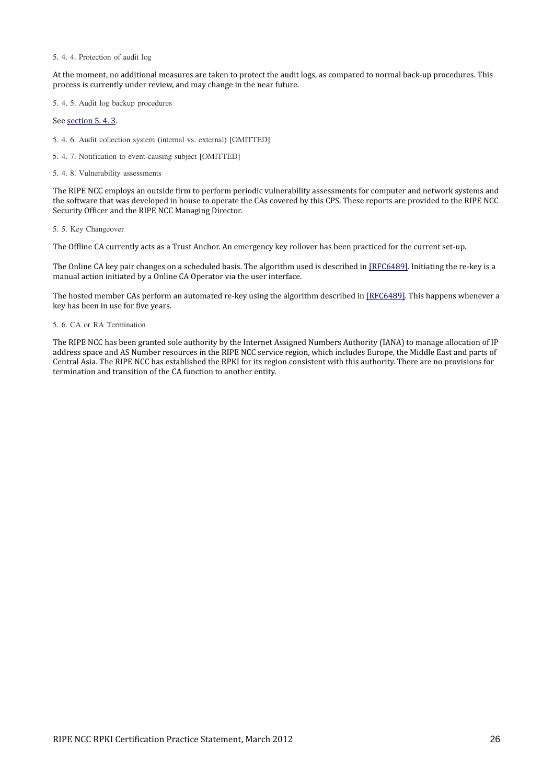#### 5. 4. 4. Protection of audit log

At the moment, no additional measures are taken to protect the audit logs, as compared to normal back-up procedures. This process is currently under review, and may change in the near future.

5. 4. 5. Audit log backup procedures

See [section 5. 4. 3.](#page-24-0)

5. 4. 6. Audit collection system (internal vs. external) [OMITTED]

5. 4. 7. Notification to event-causing subject [OMITTED]

5. 4. 8. Vulnerability assessments

The RIPE NCC employs an outside firm to perform periodic vulnerability assessments for computer and network systems and the software that was developed in house to operate the CAs covered by this CPS. These reports are provided to the RIPE NCC Security Officer and the RIPE NCC Managing Director.

#### 5. 5. Key Changeover

The Offline CA currently acts as a Trust Anchor. An emergency key rollover has been practiced for the current set-up.

The Online CA key pair changes on a scheduled basis. The algorithm used is described in [\[RFC6489\].](#page-32-8) Initiating the re-key is a manual action initiated by a Online CA Operator via the user interface.

The hosted member CAs perform an automated re-key using the algorithm described in [\[RFC6489\].](#page-32-8) This happens whenever a key has been in use for five years.

# 5. 6. CA or RA Termination

The RIPE NCC has been granted sole authority by the Internet Assigned Numbers Authority (IANA) to manage allocation of IP address space and AS Number resources in the RIPE NCC service region, which includes Europe, the Middle East and parts of Central Asia. The RIPE NCC has established the RPKI for its region consistent with this authority. There are no provisions for termination and transition of the CA function to another entity.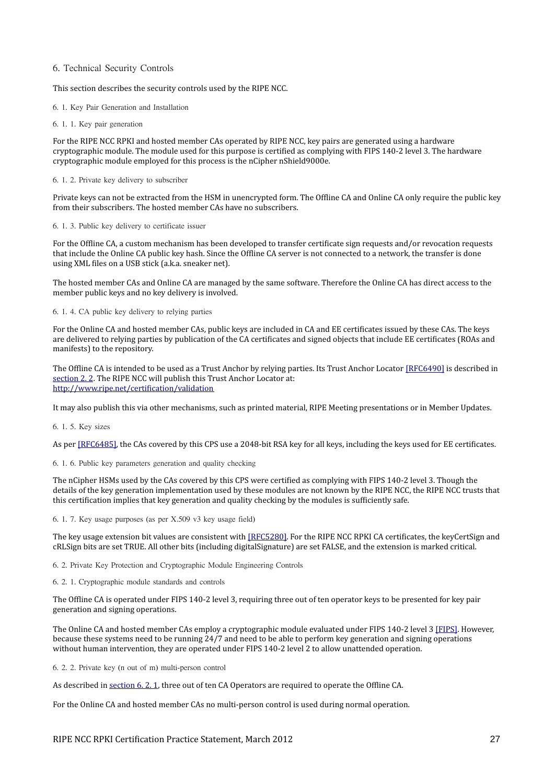# <span id="page-26-0"></span>6. Technical Security Controls

#### This section describes the security controls used by the RIPE NCC.

6. 1. Key Pair Generation and Installation

#### 6. 1. 1. Key pair generation

For the RIPE NCC RPKI and hosted member CAs operated by RIPE NCC, key pairs are generated using a hardware cryptographic module. The module used for this purpose is certified as complying with FIPS 140-2 level 3. The hardware cryptographic module employed for this process is the nCipher nShield9000e.

# 6. 1. 2. Private key delivery to subscriber

Private keys can not be extracted from the HSM in unencrypted form. The Offline CA and Online CA only require the public key from their subscribers. The hosted member CAs have no subscribers.

#### 6. 1. 3. Public key delivery to certificate issuer

For the Offline CA, a custom mechanism has been developed to transfer certificate sign requests and/or revocation requests that include the Online CA public key hash. Since the Offline CA server is not connected to a network, the transfer is done using XML files on a USB stick (a.k.a. sneaker net).

The hosted member CAs and Online CA are managed by the same software. Therefore the Online CA has direct access to the member public keys and no key delivery is involved.

6. 1. 4. CA public key delivery to relying parties

For the Online CA and hosted member CAs, public keys are included in CA and EE certificates issued by these CAs. The keys are delivered to relying parties by publication of the CA certificates and signed objects that include EE certificates (ROAs and manifests) to the repository.

The Offline CA is intended to be used as a Trust Anchor by relying parties. Its Trust Anchor Locator [\[RFC6490\]](#page-32-6) is described in [section 2. 2.](#page-13-0) The RIPE NCC will publish this Trust Anchor Locator at: <http://www.ripe.net/certification/validation>

It may also publish this via other mechanisms, such as printed material, RIPE Meeting presentations or in Member Updates.

6. 1. 5. Key sizes

As per [\[RFC6485\],](#page-32-12) the CAs covered by this CPS use a 2048-bit RSA key for all keys, including the keys used for EE certificates.

6. 1. 6. Public key parameters generation and quality checking

The nCipher HSMs used by the CAs covered by this CPS were certified as complying with FIPS 140-2 level 3. Though the details of the key generation implementation used by these modules are not known by the RIPE NCC, the RIPE NCC trusts that this certification implies that key generation and quality checking by the modules is sufficiently safe.

6. 1. 7. Key usage purposes (as per X.509 v3 key usage field)

The key usage extension bit values are consistent with [\[RFC5280\].](#page-32-11) For the RIPE NCC RPKI CA certificates, the keyCertSign and cRLSign bits are set TRUE. All other bits (including digitalSignature) are set FALSE, and the extension is marked critical.

6. 2. Private Key Protection and Cryptographic Module Engineering Controls

<span id="page-26-1"></span>6. 2. 1. Cryptographic module standards and controls

The Offline CA is operated under FIPS 140-2 level 3, requiring three out of ten operator keys to be presented for key pair generation and signing operations.

The Online CA and hosted member CAs employ a cryptographic module evaluated under FIPS 140-2 level 3 [\[FIPS\].](#page-32-10) However, because these systems need to be running 24/7 and need to be able to perform key generation and signing operations without human intervention, they are operated under FIPS 140-2 level 2 to allow unattended operation.

6. 2. 2. Private key (n out of m) multi-person control

As described in [section 6. 2. 1,](#page-26-1) three out of ten CA Operators are required to operate the Offline CA.

For the Online CA and hosted member CAs no multi-person control is used during normal operation.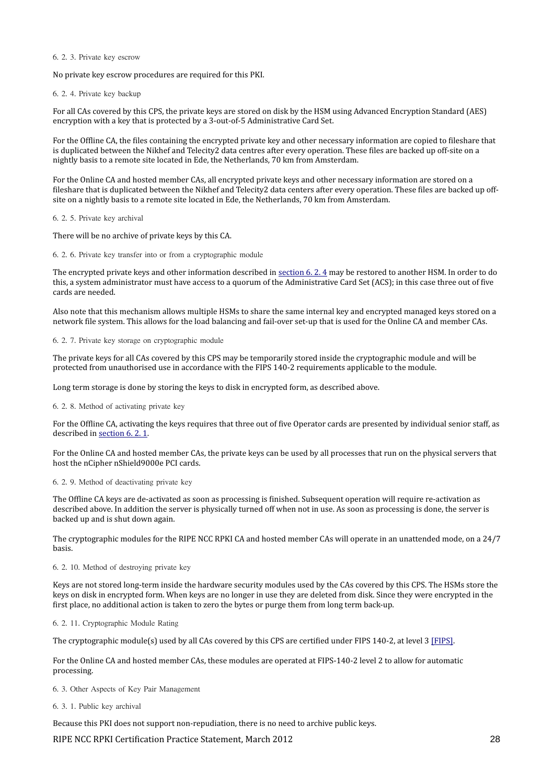#### 6. 2. 3. Private key escrow

No private key escrow procedures are required for this PKI.

<span id="page-27-0"></span>6. 2. 4. Private key backup

For all CAs covered by this CPS, the private keys are stored on disk by the HSM using Advanced Encryption Standard (AES) encryption with a key that is protected by a 3-out-of-5 Administrative Card Set.

For the Offline CA, the files containing the encrypted private key and other necessary information are copied to fileshare that is duplicated between the Nikhef and Telecity2 data centres after every operation. These files are backed up off-site on a nightly basis to a remote site located in Ede, the Netherlands, 70 km from Amsterdam.

For the Online CA and hosted member CAs, all encrypted private keys and other necessary information are stored on a fileshare that is duplicated between the Nikhef and Telecity2 data centers after every operation. These files are backed up offsite on a nightly basis to a remote site located in Ede, the Netherlands, 70 km from Amsterdam.

6. 2. 5. Private key archival

There will be no archive of private keys by this CA.

6. 2. 6. Private key transfer into or from a cryptographic module

The encrypted private keys and other information described in [section 6. 2. 4](#page-27-0) may be restored to another HSM. In order to do this, a system administrator must have access to a quorum of the Administrative Card Set (ACS); in this case three out of five cards are needed.

Also note that this mechanism allows multiple HSMs to share the same internal key and encrypted managed keys stored on a network file system. This allows for the load balancing and fail-over set-up that is used for the Online CA and member CAs.

6. 2. 7. Private key storage on cryptographic module

The private keys for all CAs covered by this CPS may be temporarily stored inside the cryptographic module and will be protected from unauthorised use in accordance with the FIPS 140-2 requirements applicable to the module.

Long term storage is done by storing the keys to disk in encrypted form, as described above.

<span id="page-27-1"></span>6. 2. 8. Method of activating private key

For the Offline CA, activating the keys requires that three out of five Operator cards are presented by individual senior staff, as described in [section 6. 2. 1.](#page-26-1)

For the Online CA and hosted member CAs, the private keys can be used by all processes that run on the physical servers that host the nCipher nShield9000e PCI cards.

#### 6. 2. 9. Method of deactivating private key

The Offline CA keys are de-activated as soon as processing is finished. Subsequent operation will require re-activation as described above. In addition the server is physically turned off when not in use. As soon as processing is done, the server is backed up and is shut down again.

The cryptographic modules for the RIPE NCC RPKI CA and hosted member CAs will operate in an unattended mode, on a 24/7 basis.

#### 6. 2. 10. Method of destroying private key

Keys are not stored long-term inside the hardware security modules used by the CAs covered by this CPS. The HSMs store the keys on disk in encrypted form. When keys are no longer in use they are deleted from disk. Since they were encrypted in the first place, no additional action is taken to zero the bytes or purge them from long term back-up.

6. 2. 11. Cryptographic Module Rating

The cryptographic module(s) used by all CAs covered by this CPS are certified under FIPS 140-2, at level 3 [\[FIPS\].](#page-32-10)

For the Online CA and hosted member CAs, these modules are operated at FIPS-140-2 level 2 to allow for automatic processing.

6. 3. Other Aspects of Key Pair Management

#### 6. 3. 1. Public key archival

Because this PKI does not support non-repudiation, there is no need to archive public keys.

RIPE NCC RPKI Certification Practice Statement, March 2012 28 28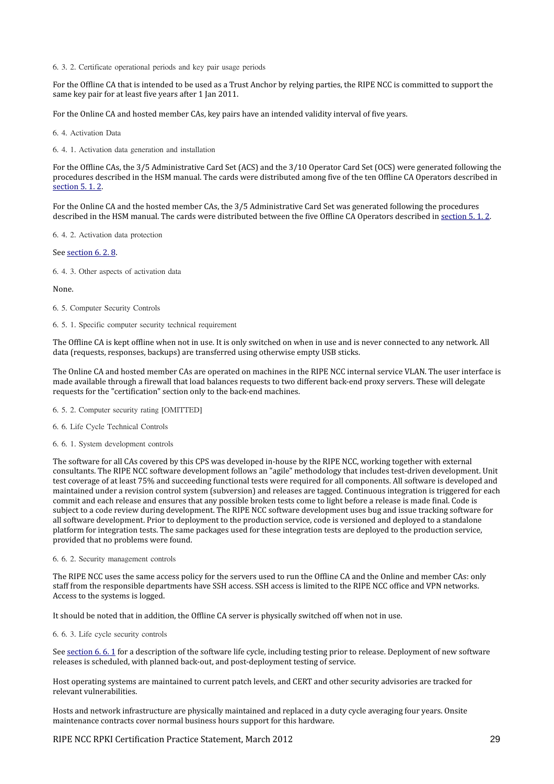6. 3. 2. Certificate operational periods and key pair usage periods

For the Offline CA that is intended to be used as a Trust Anchor by relying parties, the RIPE NCC is committed to support the same key pair for at least five years after 1 Jan 2011.

For the Online CA and hosted member CAs, key pairs have an intended validity interval of five years.

6. 4. Activation Data

6. 4. 1. Activation data generation and installation

For the Offline CAs, the 3/5 Administrative Card Set (ACS) and the 3/10 Operator Card Set (OCS) were generated following the procedures described in the HSM manual. The cards were distributed among five of the ten Offline CA Operators described in [section 5. 1. 2.](#page-21-0)

For the Online CA and the hosted member CAs, the 3/5 Administrative Card Set was generated following the procedures described in the HSM manual. The cards were distributed between the five Offline CA Operators described in section 5.1.2.

6. 4. 2. Activation data protection

See [section 6. 2. 8.](#page-27-1)

6. 4. 3. Other aspects of activation data

None.

- 6. 5. Computer Security Controls
- 6. 5. 1. Specific computer security technical requirement

The Offline CA is kept offline when not in use. It is only switched on when in use and is never connected to any network. All data (requests, responses, backups) are transferred using otherwise empty USB sticks.

The Online CA and hosted member CAs are operated on machines in the RIPE NCC internal service VLAN. The user interface is made available through a firewall that load balances requests to two different back-end proxy servers. These will delegate requests for the "certification" section only to the back-end machines.

- 6. 5. 2. Computer security rating [OMITTED]
- 6. 6. Life Cycle Technical Controls
- <span id="page-28-0"></span>6. 6. 1. System development controls

The software for all CAs covered by this CPS was developed in-house by the RIPE NCC, working together with external consultants. The RIPE NCC software development follows an "agile" methodology that includes test-driven development. Unit test coverage of at least 75% and succeeding functional tests were required for all components. All software is developed and maintained under a revision control system (subversion) and releases are tagged. Continuous integration is triggered for each commit and each release and ensures that any possible broken tests come to light before a release is made final. Code is subject to a code review during development. The RIPE NCC software development uses bug and issue tracking software for all software development. Prior to deployment to the production service, code is versioned and deployed to a standalone platform for integration tests. The same packages used for these integration tests are deployed to the production service, provided that no problems were found.

6. 6. 2. Security management controls

The RIPE NCC uses the same access policy for the servers used to run the Offline CA and the Online and member CAs: only staff from the responsible departments have SSH access. SSH access is limited to the RIPE NCC office and VPN networks. Access to the systems is logged.

It should be noted that in addition, the Offline CA server is physically switched off when not in use.

6. 6. 3. Life cycle security controls

See [section 6. 6. 1](#page-28-0) for a description of the software life cycle, including testing prior to release. Deployment of new software releases is scheduled, with planned back-out, and post-deployment testing of service.

Host operating systems are maintained to current patch levels, and CERT and other security advisories are tracked for relevant vulnerabilities.

Hosts and network infrastructure are physically maintained and replaced in a duty cycle averaging four years. Onsite maintenance contracts cover normal business hours support for this hardware.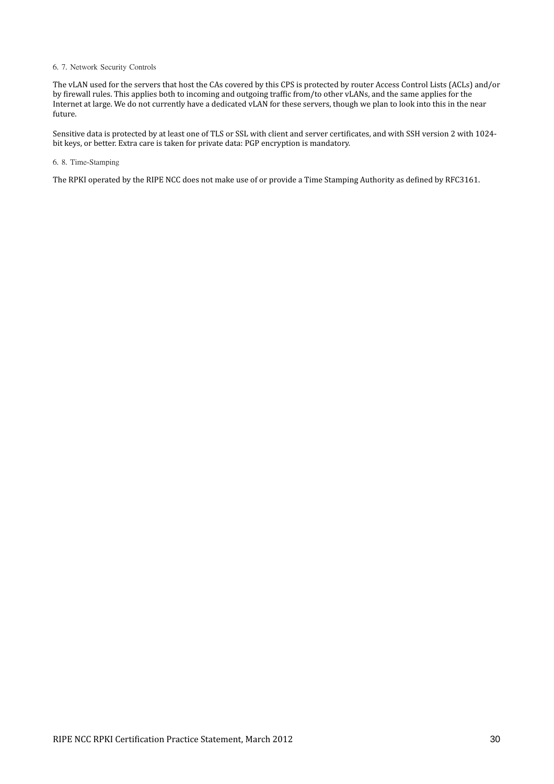# 6. 7. Network Security Controls

The vLAN used for the servers that host the CAs covered by this CPS is protected by router Access Control Lists (ACLs) and/or by firewall rules. This applies both to incoming and outgoing traffic from/to other vLANs, and the same applies for the Internet at large. We do not currently have a dedicated vLAN for these servers, though we plan to look into this in the near future.

Sensitive data is protected by at least one of TLS or SSL with client and server certificates, and with SSH version 2 with 1024 bit keys, or better. Extra care is taken for private data: PGP encryption is mandatory.

#### 6. 8. Time-Stamping

The RPKI operated by the RIPE NCC does not make use of or provide a Time Stamping Authority as defined by RFC3161.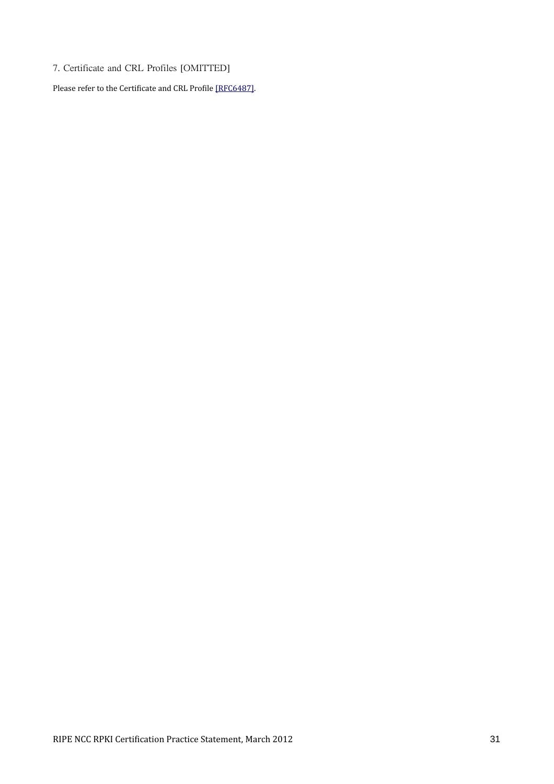7. Certificate and CRL Profiles [OMITTED]

Please refer to the Certificate and CRL Profile [\[RFC6487\].](#page-32-9)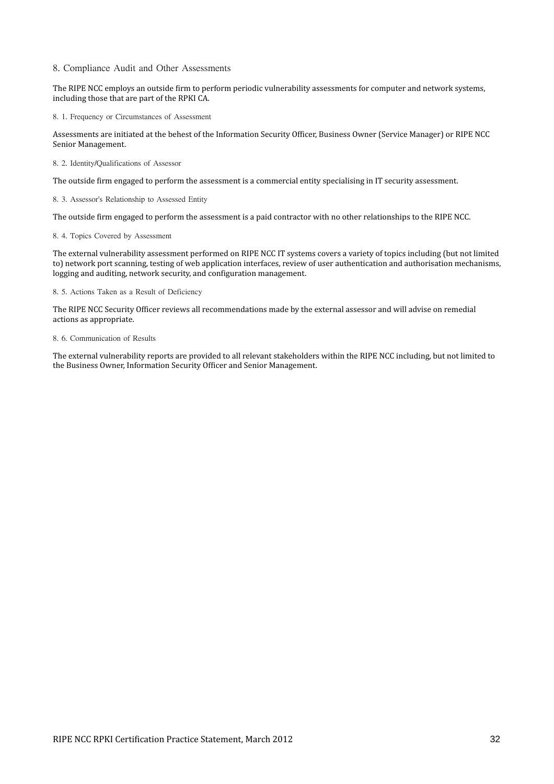# 8. Compliance Audit and Other Assessments

The RIPE NCC employs an outside firm to perform periodic vulnerability assessments for computer and network systems, including those that are part of the RPKI CA.

8. 1. Frequency or Circumstances of Assessment

Assessments are initiated at the behest of the Information Security Officer, Business Owner (Service Manager) or RIPE NCC Senior Management.

8. 2. Identity/Qualifications of Assessor

The outside firm engaged to perform the assessment is a commercial entity specialising in IT security assessment.

8. 3. Assessor's Relationship to Assessed Entity

The outside firm engaged to perform the assessment is a paid contractor with no other relationships to the RIPE NCC.

#### 8. 4. Topics Covered by Assessment

The external vulnerability assessment performed on RIPE NCC IT systems covers a variety of topics including (but not limited to) network port scanning, testing of web application interfaces, review of user authentication and authorisation mechanisms, logging and auditing, network security, and configuration management.

# 8. 5. Actions Taken as a Result of Deficiency

The RIPE NCC Security Officer reviews all recommendations made by the external assessor and will advise on remedial actions as appropriate.

### 8. 6. Communication of Results

The external vulnerability reports are provided to all relevant stakeholders within the RIPE NCC including, but not limited to the Business Owner, Information Security Officer and Senior Management.